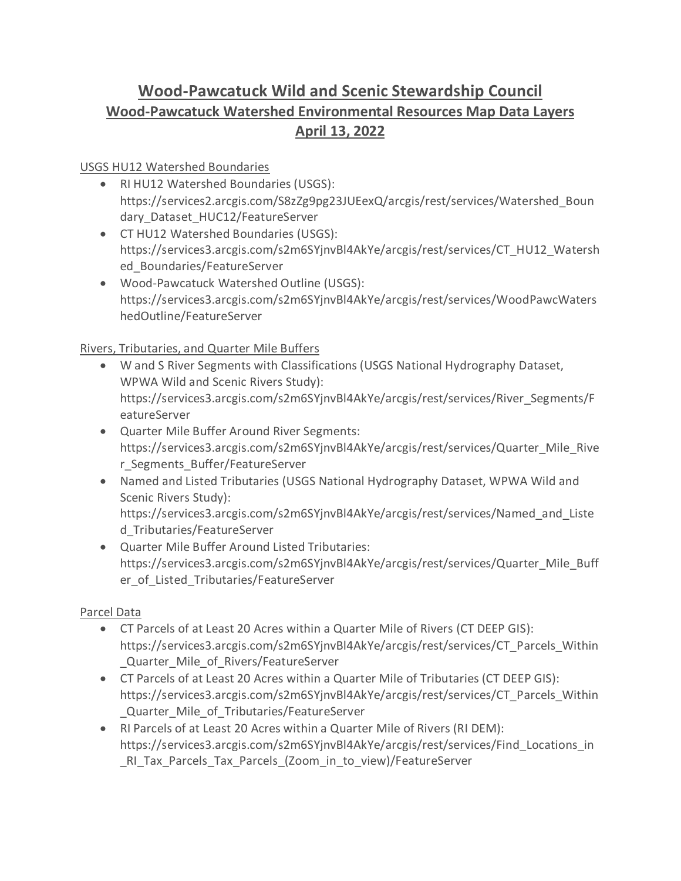# **Wood-Pawcatuck Wild and Scenic Stewardship Council Wood-Pawcatuck Watershed Environmental Resources Map Data Layers April 13, 2022**

#### USGS HU12 Watershed Boundaries

- RI HU12 Watershed Boundaries (USGS): https://services2.arcgis.com/S8zZg9pg23JUEexQ/arcgis/rest/services/Watershed\_Boun dary Dataset HUC12/FeatureServer
- CT HU12 Watershed Boundaries (USGS): https://services3.arcgis.com/s2m6SYjnvBl4AkYe/arcgis/rest/services/CT\_HU12\_Watersh ed\_Boundaries/FeatureServer
- Wood-Pawcatuck Watershed Outline (USGS): https://services3.arcgis.com/s2m6SYjnvBl4AkYe/arcgis/rest/services/WoodPawcWaters hedOutline/FeatureServer

Rivers, Tributaries, and Quarter Mile Buffers

- W and S River Segments with Classifications (USGS National Hydrography Dataset, WPWA Wild and Scenic Rivers Study): https://services3.arcgis.com/s2m6SYjnvBl4AkYe/arcgis/rest/services/River\_Segments/F eatureServer
- Quarter Mile Buffer Around River Segments: https://services3.arcgis.com/s2m6SYjnvBl4AkYe/arcgis/rest/services/Quarter\_Mile\_Rive r\_Segments\_Buffer/FeatureServer
- Named and Listed Tributaries (USGS National Hydrography Dataset, WPWA Wild and Scenic Rivers Study):

https://services3.arcgis.com/s2m6SYjnvBl4AkYe/arcgis/rest/services/Named\_and\_Liste d\_Tributaries/FeatureServer

• Quarter Mile Buffer Around Listed Tributaries: https://services3.arcgis.com/s2m6SYjnvBl4AkYe/arcgis/rest/services/Quarter\_Mile\_Buff er\_of\_Listed\_Tributaries/FeatureServer

## Parcel Data

- CT Parcels of at Least 20 Acres within a Quarter Mile of Rivers (CT DEEP GIS): https://services3.arcgis.com/s2m6SYjnvBl4AkYe/arcgis/rest/services/CT\_Parcels\_Within Quarter Mile of Rivers/FeatureServer
- CT Parcels of at Least 20 Acres within a Quarter Mile of Tributaries (CT DEEP GIS): https://services3.arcgis.com/s2m6SYjnvBl4AkYe/arcgis/rest/services/CT\_Parcels\_Within Quarter Mile of Tributaries/FeatureServer
- RI Parcels of at Least 20 Acres within a Quarter Mile of Rivers (RI DEM): https://services3.arcgis.com/s2m6SYjnvBl4AkYe/arcgis/rest/services/Find\_Locations\_in \_RI\_Tax\_Parcels\_Tax\_Parcels\_(Zoom\_in\_to\_view)/FeatureServer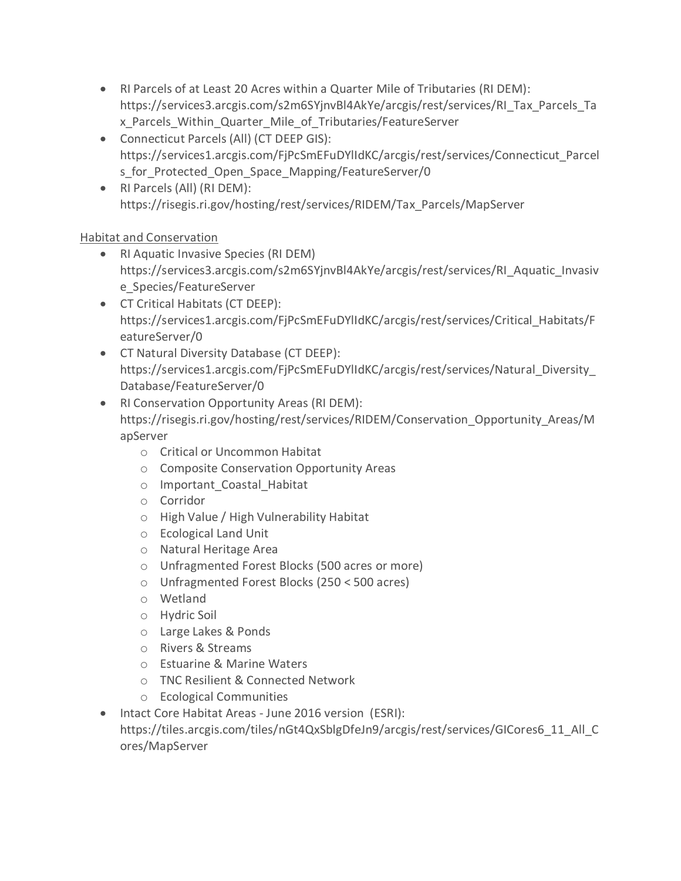- RI Parcels of at Least 20 Acres within a Quarter Mile of Tributaries (RI DEM): https://services3.arcgis.com/s2m6SYjnvBl4AkYe/arcgis/rest/services/RI\_Tax\_Parcels\_Ta x\_Parcels\_Within\_Quarter\_Mile\_of\_Tributaries/FeatureServer
- Connecticut Parcels (All) (CT DEEP GIS): https://services1.arcgis.com/FjPcSmEFuDYlIdKC/arcgis/rest/services/Connecticut\_Parcel s for Protected Open Space Mapping/FeatureServer/0
- RI Parcels (All) (RI DEM): https://risegis.ri.gov/hosting/rest/services/RIDEM/Tax\_Parcels/MapServer

## Habitat and Conservation

- RI Aquatic Invasive Species (RI DEM) https://services3.arcgis.com/s2m6SYjnvBl4AkYe/arcgis/rest/services/RI\_Aquatic\_Invasiv e\_Species/FeatureServer
- CT Critical Habitats (CT DEEP): https://services1.arcgis.com/FjPcSmEFuDYlIdKC/arcgis/rest/services/Critical\_Habitats/F eatureServer/0
- CT Natural Diversity Database (CT DEEP): https://services1.arcgis.com/FjPcSmEFuDYlIdKC/arcgis/rest/services/Natural\_Diversity\_ Database/FeatureServer/0
- RI Conservation Opportunity Areas (RI DEM): https://risegis.ri.gov/hosting/rest/services/RIDEM/Conservation\_Opportunity\_Areas/M apServer
	- o Critical or Uncommon Habitat
	- o Composite Conservation Opportunity Areas
	- o Important\_Coastal\_Habitat
	- o Corridor
	- o High Value / High Vulnerability Habitat
	- o Ecological Land Unit
	- o Natural Heritage Area
	- o Unfragmented Forest Blocks (500 acres or more)
	- o Unfragmented Forest Blocks (250 < 500 acres)
	- o Wetland
	- o Hydric Soil
	- o Large Lakes & Ponds
	- o Rivers & Streams
	- o Estuarine & Marine Waters
	- o TNC Resilient & Connected Network
	- o Ecological Communities
- Intact Core Habitat Areas June 2016 version (ESRI): https://tiles.arcgis.com/tiles/nGt4QxSblgDfeJn9/arcgis/rest/services/GICores6\_11\_All\_C ores/MapServer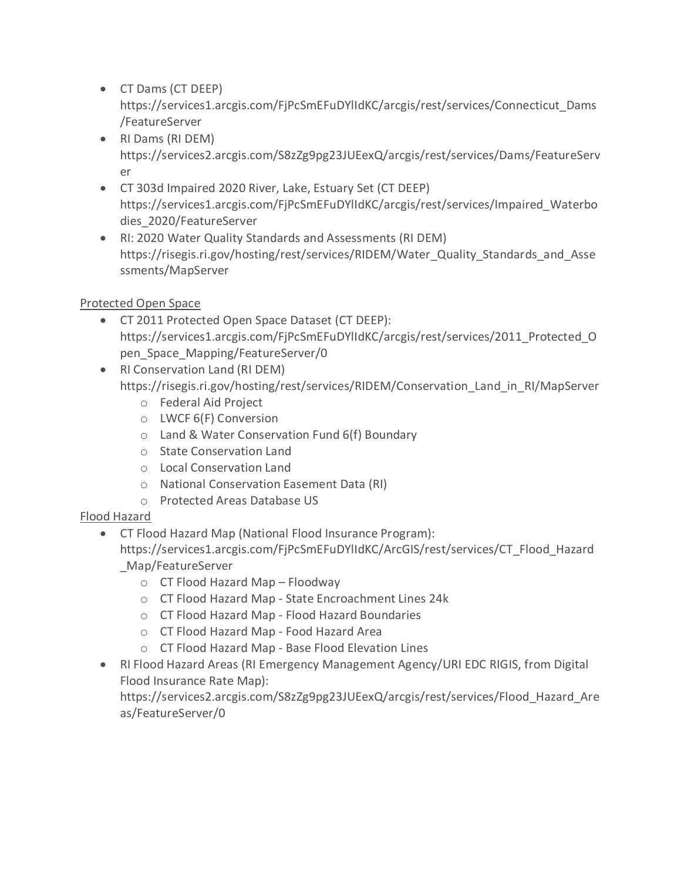• CT Dams (CT DEEP)

https://services1.arcgis.com/FjPcSmEFuDYlIdKC/arcgis/rest/services/Connecticut\_Dams /FeatureServer

- RI Dams (RI DEM) https://services2.arcgis.com/S8zZg9pg23JUEexQ/arcgis/rest/services/Dams/FeatureServ er
- CT 303d Impaired 2020 River, Lake, Estuary Set (CT DEEP) https://services1.arcgis.com/FjPcSmEFuDYlIdKC/arcgis/rest/services/Impaired\_Waterbo dies\_2020/FeatureServer
- RI: 2020 Water Quality Standards and Assessments (RI DEM) https://risegis.ri.gov/hosting/rest/services/RIDEM/Water\_Quality\_Standards\_and\_Asse ssments/MapServer

## Protected Open Space

- CT 2011 Protected Open Space Dataset (CT DEEP): https://services1.arcgis.com/FjPcSmEFuDYlIdKC/arcgis/rest/services/2011\_Protected\_O pen\_Space\_Mapping/FeatureServer/0
- RI Conservation Land (RI DEM) https://risegis.ri.gov/hosting/rest/services/RIDEM/Conservation\_Land\_in\_RI/MapServer
	- o Federal Aid Project
	- o LWCF 6(F) Conversion
	- o Land & Water Conservation Fund 6(f) Boundary
	- o State Conservation Land
	- o Local Conservation Land
	- o National Conservation Easement Data (RI)
	- o Protected Areas Database US

## Flood Hazard

• CT Flood Hazard Map (National Flood Insurance Program):

https://services1.arcgis.com/FjPcSmEFuDYlIdKC/ArcGIS/rest/services/CT\_Flood\_Hazard \_Map/FeatureServer

- o CT Flood Hazard Map Floodway
- o CT Flood Hazard Map State Encroachment Lines 24k
- o CT Flood Hazard Map Flood Hazard Boundaries
- o CT Flood Hazard Map Food Hazard Area
- o CT Flood Hazard Map Base Flood Elevation Lines
- RI Flood Hazard Areas (RI Emergency Management Agency/URI EDC RIGIS, from Digital Flood Insurance Rate Map):

https://services2.arcgis.com/S8zZg9pg23JUEexQ/arcgis/rest/services/Flood\_Hazard\_Are as/FeatureServer/0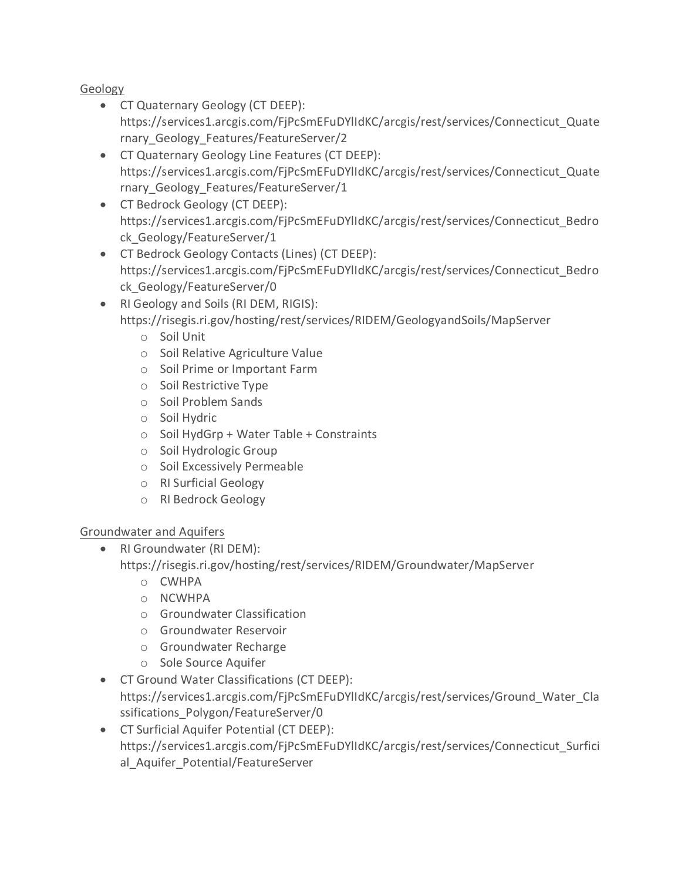Geology

- CT Quaternary Geology (CT DEEP): https://services1.arcgis.com/FjPcSmEFuDYlIdKC/arcgis/rest/services/Connecticut\_Quate rnary\_Geology\_Features/FeatureServer/2
- CT Quaternary Geology Line Features (CT DEEP): https://services1.arcgis.com/FjPcSmEFuDYlIdKC/arcgis/rest/services/Connecticut\_Quate rnary\_Geology\_Features/FeatureServer/1
- CT Bedrock Geology (CT DEEP): https://services1.arcgis.com/FjPcSmEFuDYlIdKC/arcgis/rest/services/Connecticut\_Bedro ck\_Geology/FeatureServer/1
- CT Bedrock Geology Contacts (Lines) (CT DEEP): https://services1.arcgis.com/FjPcSmEFuDYlIdKC/arcgis/rest/services/Connecticut\_Bedro ck\_Geology/FeatureServer/0
- RI Geology and Soils (RI DEM, RIGIS): https://risegis.ri.gov/hosting/rest/services/RIDEM/GeologyandSoils/MapServer
	- o Soil Unit
	- o Soil Relative Agriculture Value
	- o Soil Prime or Important Farm
	- o Soil Restrictive Type
	- o Soil Problem Sands
	- o Soil Hydric
	- o Soil HydGrp + Water Table + Constraints
	- o Soil Hydrologic Group
	- o Soil Excessively Permeable
	- o RI Surficial Geology
	- o RI Bedrock Geology

## Groundwater and Aquifers

- RI Groundwater (RI DEM):
	- https://risegis.ri.gov/hosting/rest/services/RIDEM/Groundwater/MapServer
		- o CWHPA
		- o NCWHPA
		- o Groundwater Classification
		- o Groundwater Reservoir
		- o Groundwater Recharge
		- o Sole Source Aquifer
- CT Ground Water Classifications (CT DEEP): https://services1.arcgis.com/FjPcSmEFuDYlIdKC/arcgis/rest/services/Ground\_Water\_Cla ssifications\_Polygon/FeatureServer/0
- CT Surficial Aquifer Potential (CT DEEP): https://services1.arcgis.com/FjPcSmEFuDYlIdKC/arcgis/rest/services/Connecticut\_Surfici al Aquifer Potential/FeatureServer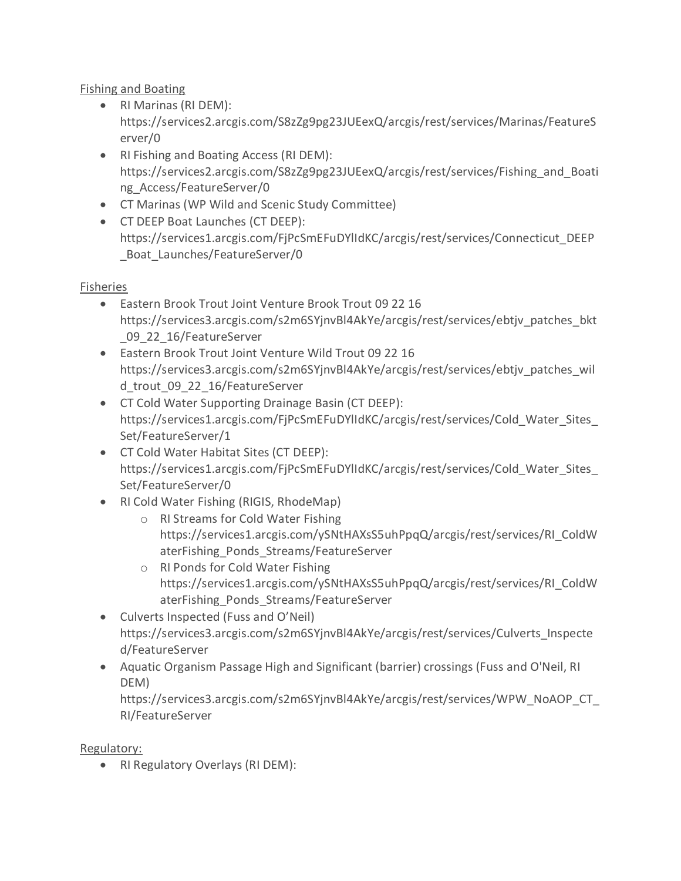Fishing and Boating

- RI Marinas (RI DEM): https://services2.arcgis.com/S8zZg9pg23JUEexQ/arcgis/rest/services/Marinas/FeatureS erver/0
- RI Fishing and Boating Access (RI DEM): https://services2.arcgis.com/S8zZg9pg23JUEexQ/arcgis/rest/services/Fishing\_and\_Boati ng\_Access/FeatureServer/0
- CT Marinas (WP Wild and Scenic Study Committee)
- CT DEEP Boat Launches (CT DEEP): https://services1.arcgis.com/FjPcSmEFuDYlIdKC/arcgis/rest/services/Connecticut\_DEEP Boat Launches/FeatureServer/0

#### Fisheries

- Eastern Brook Trout Joint Venture Brook Trout 09 22 16 https://services3.arcgis.com/s2m6SYjnvBl4AkYe/arcgis/rest/services/ebtjv\_patches\_bkt 09 22 16/FeatureServer
- Eastern Brook Trout Joint Venture Wild Trout 09 22 16 https://services3.arcgis.com/s2m6SYjnvBl4AkYe/arcgis/rest/services/ebtjv\_patches\_wil d trout 09 22 16/FeatureServer
- CT Cold Water Supporting Drainage Basin (CT DEEP): https://services1.arcgis.com/FjPcSmEFuDYlIdKC/arcgis/rest/services/Cold\_Water\_Sites\_ Set/FeatureServer/1
- CT Cold Water Habitat Sites (CT DEEP): https://services1.arcgis.com/FjPcSmEFuDYlIdKC/arcgis/rest/services/Cold\_Water\_Sites\_ Set/FeatureServer/0
- RI Cold Water Fishing (RIGIS, RhodeMap)
	- o RI Streams for Cold Water Fishing https://services1.arcgis.com/ySNtHAXsS5uhPpqQ/arcgis/rest/services/RI\_ColdW aterFishing\_Ponds\_Streams/FeatureServer
	- o RI Ponds for Cold Water Fishing https://services1.arcgis.com/ySNtHAXsS5uhPpqQ/arcgis/rest/services/RI\_ColdW aterFishing\_Ponds\_Streams/FeatureServer
- Culverts Inspected (Fuss and O'Neil) https://services3.arcgis.com/s2m6SYjnvBl4AkYe/arcgis/rest/services/Culverts\_Inspecte d/FeatureServer
- Aquatic Organism Passage High and Significant (barrier) crossings (Fuss and O'Neil, RI DEM)

https://services3.arcgis.com/s2m6SYjnvBl4AkYe/arcgis/rest/services/WPW\_NoAOP\_CT\_ RI/FeatureServer

Regulatory:

• RI Regulatory Overlays (RI DEM):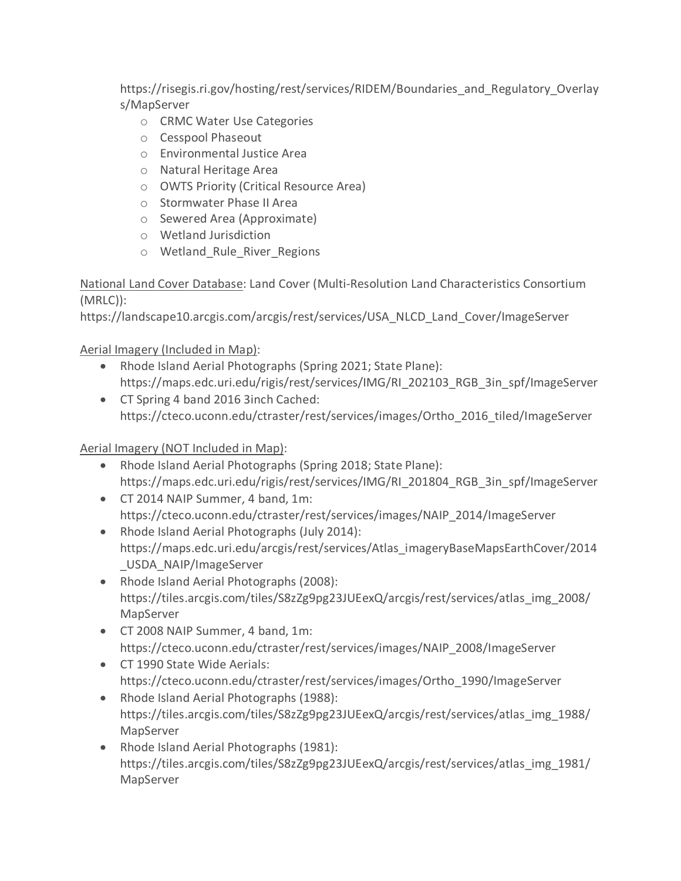https://risegis.ri.gov/hosting/rest/services/RIDEM/Boundaries\_and\_Regulatory\_Overlay s/MapServer

- o CRMC Water Use Categories
- o Cesspool Phaseout
- o Environmental Justice Area
- o Natural Heritage Area
- o OWTS Priority (Critical Resource Area)
- o Stormwater Phase II Area
- o Sewered Area (Approximate)
- o Wetland Jurisdiction
- o Wetland\_Rule\_River\_Regions

National Land Cover Database: Land Cover (Multi-Resolution Land Characteristics Consortium (MRLC)):

https://landscape10.arcgis.com/arcgis/rest/services/USA\_NLCD\_Land\_Cover/ImageServer

Aerial Imagery (Included in Map):

- Rhode Island Aerial Photographs (Spring 2021; State Plane): https://maps.edc.uri.edu/rigis/rest/services/IMG/RI\_202103\_RGB\_3in\_spf/ImageServer
- CT Spring 4 band 2016 3inch Cached: https://cteco.uconn.edu/ctraster/rest/services/images/Ortho\_2016\_tiled/ImageServer

# Aerial Imagery (NOT Included in Map):

- Rhode Island Aerial Photographs (Spring 2018; State Plane): https://maps.edc.uri.edu/rigis/rest/services/IMG/RI\_201804\_RGB\_3in\_spf/ImageServer
- CT 2014 NAIP Summer, 4 band, 1m: https://cteco.uconn.edu/ctraster/rest/services/images/NAIP\_2014/ImageServer
- Rhode Island Aerial Photographs (July 2014): https://maps.edc.uri.edu/arcgis/rest/services/Atlas\_imageryBaseMapsEarthCover/2014 \_USDA\_NAIP/ImageServer
- Rhode Island Aerial Photographs (2008): https://tiles.arcgis.com/tiles/S8zZg9pg23JUEexQ/arcgis/rest/services/atlas\_img\_2008/ MapServer
- CT 2008 NAIP Summer, 4 band, 1m: https://cteco.uconn.edu/ctraster/rest/services/images/NAIP\_2008/ImageServer
- CT 1990 State Wide Aerials: https://cteco.uconn.edu/ctraster/rest/services/images/Ortho\_1990/ImageServer
- Rhode Island Aerial Photographs (1988): https://tiles.arcgis.com/tiles/S8zZg9pg23JUEexQ/arcgis/rest/services/atlas\_img\_1988/ MapServer
- Rhode Island Aerial Photographs (1981): https://tiles.arcgis.com/tiles/S8zZg9pg23JUEexQ/arcgis/rest/services/atlas\_img\_1981/ MapServer